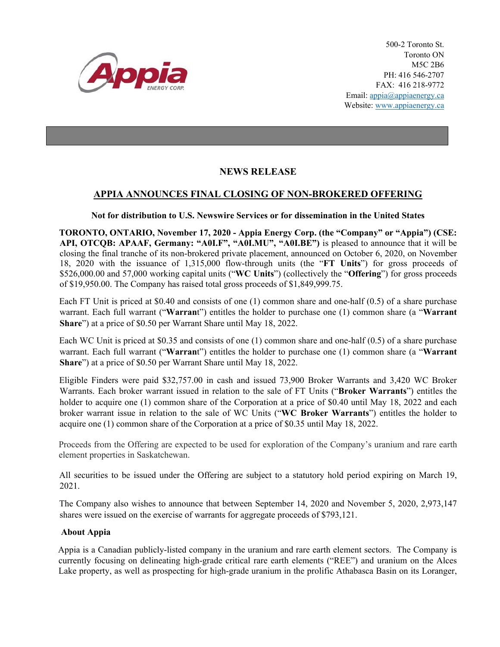

500-2 Toronto St. Toronto ON M5C 2B6 PH: 416 546-2707 FAX: 416 218-9772 Email: appia@appiaenergy.ca Website: www.appiaenergy.ca

## **NEWS RELEASE**

## **APPIA ANNOUNCES FINAL CLOSING OF NON-BROKERED OFFERING**

## **Not for distribution to U.S. Newswire Services or for dissemination in the United States**

**TORONTO, ONTARIO, November 17, 2020 - Appia Energy Corp. (the "Company" or "Appia") (CSE: API, OTCQB: APAAF, Germany: "A0I.F", "A0I.MU", "A0I.BE")** is pleased to announce that it will be closing the final tranche of its non-brokered private placement, announced on October 6, 2020, on November 18, 2020 with the issuance of 1,315,000 flow-through units (the "**FT Units**") for gross proceeds of \$526,000.00 and 57,000 working capital units ("**WC Units**") (collectively the "**Offering**") for gross proceeds of \$19,950.00. The Company has raised total gross proceeds of \$1,849,999.75.

Each FT Unit is priced at \$0.40 and consists of one (1) common share and one-half (0.5) of a share purchase warrant. Each full warrant ("**Warran**t") entitles the holder to purchase one (1) common share (a "**Warrant Share**") at a price of \$0.50 per Warrant Share until May 18, 2022.

Each WC Unit is priced at \$0.35 and consists of one (1) common share and one-half (0.5) of a share purchase warrant. Each full warrant ("**Warran**t") entitles the holder to purchase one (1) common share (a "**Warrant Share**") at a price of \$0.50 per Warrant Share until May 18, 2022.

Eligible Finders were paid \$32,757.00 in cash and issued 73,900 Broker Warrants and 3,420 WC Broker Warrants. Each broker warrant issued in relation to the sale of FT Units ("**Broker Warrants**") entitles the holder to acquire one (1) common share of the Corporation at a price of \$0.40 until May 18, 2022 and each broker warrant issue in relation to the sale of WC Units ("**WC Broker Warrants**") entitles the holder to acquire one (1) common share of the Corporation at a price of \$0.35 until May 18, 2022.

Proceeds from the Offering are expected to be used for exploration of the Company's uranium and rare earth element properties in Saskatchewan.

All securities to be issued under the Offering are subject to a statutory hold period expiring on March 19, 2021.

The Company also wishes to announce that between September 14, 2020 and November 5, 2020, 2,973,147 shares were issued on the exercise of warrants for aggregate proceeds of \$793,121.

## **About Appia**

Appia is a Canadian publicly-listed company in the uranium and rare earth element sectors. The Company is currently focusing on delineating high-grade critical rare earth elements ("REE") and uranium on the Alces Lake property, as well as prospecting for high-grade uranium in the prolific Athabasca Basin on its Loranger,